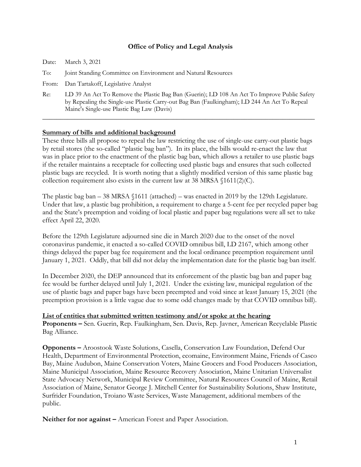#### **Office of Policy and Legal Analysis**

| Date: | March 3, 2021                                                                                                                                                                                                                             |
|-------|-------------------------------------------------------------------------------------------------------------------------------------------------------------------------------------------------------------------------------------------|
| To:   | Joint Standing Committee on Environment and Natural Resources                                                                                                                                                                             |
| From: | Dan Tartakoff, Legislative Analyst                                                                                                                                                                                                        |
| Re:   | LD 39 An Act To Remove the Plastic Bag Ban (Guerin); LD 108 An Act To Improve Public Safety<br>by Repealing the Single-use Plastic Carry-out Bag Ban (Faulkingham); LD 244 An Act To Repeal<br>Maine's Single-use Plastic Bag Law (Davis) |

# **Summary of bills and additional background**

These three bills all propose to repeal the law restricting the use of single-use carry-out plastic bags by retail stores (the so-called "plastic bag ban"). In its place, the bills would re-enact the law that was in place prior to the enactment of the plastic bag ban, which allows a retailer to use plastic bags if the retailer maintains a receptacle for collecting used plastic bags and ensures that such collected plastic bags are recycled. It is worth noting that a slightly modified version of this same plastic bag collection requirement also exists in the current law at 38 MRSA §1611(2)(C).

The plastic bag ban – 38 MRSA §1611 (attached) – was enacted in 2019 by the 129th Legislature. Under that law, a plastic bag prohibition, a requirement to charge a 5-cent fee per recycled paper bag and the State's preemption and voiding of local plastic and paper bag regulations were all set to take effect April 22, 2020.

Before the 129th Legislature adjourned sine die in March 2020 due to the onset of the novel coronavirus pandemic, it enacted a so-called COVID omnibus bill, LD 2167, which among other things delayed the paper bag fee requirement and the local ordinance preemption requirement until January 1, 2021. Oddly, that bill did not delay the implementation date for the plastic bag ban itself.

In December 2020, the DEP announced that its enforcement of the plastic bag ban and paper bag fee would be further delayed until July 1, 2021. Under the existing law, municipal regulation of the use of plastic bags and paper bags have been preempted and void since at least January 15, 2021 (the preemption provision is a little vague due to some odd changes made by that COVID omnibus bill).

**List of entities that submitted written testimony and/or spoke at the hearing Proponents –** Sen. Guerin, Rep. Faulkingham, Sen. Davis, Rep. Javner, American Recyclable Plastic Bag Alliance.

**Opponents –** Aroostook Waste Solutions, Casella, Conservation Law Foundation, Defend Our Health, Department of Environmental Protection, ecomaine, Environment Maine, Friends of Casco Bay, Maine Audubon, Maine Conservation Voters, Maine Grocers and Food Producers Association, Maine Municipal Association, Maine Resource Recovery Association, Maine Unitarian Universalist State Advocacy Network, Municipal Review Committee, Natural Resources Council of Maine, Retail Association of Maine, Senator George J. Mitchell Center for Sustainability Solutions, Shaw Institute, Surfrider Foundation, Troiano Waste Services, Waste Management, additional members of the public.

**Neither for nor against –** American Forest and Paper Association.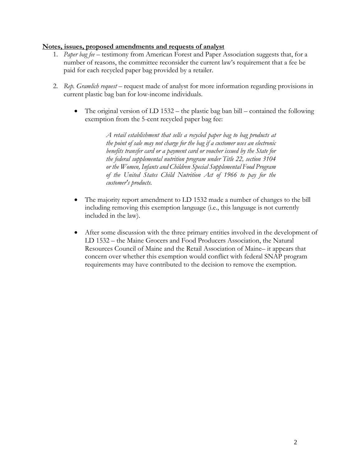# **Notes, issues, proposed amendments and requests of analyst**

- 1. *Paper bag fee* testimony from American Forest and Paper Association suggests that, for a number of reasons, the committee reconsider the current law's requirement that a fee be paid for each recycled paper bag provided by a retailer.
- 2. *Rep. Gramlich request* request made of analyst for more information regarding provisions in current plastic bag ban for low-income individuals.
	- The original version of LD 1532 the plastic bag ban bill contained the following exemption from the 5-cent recycled paper bag fee:

*A retail establishment that sells a recycled paper bag to bag products at the point of sale may not charge for the bag if a customer uses an electronic benefits transfer card or a payment card or voucher issued by the State for the federal supplemental nutrition program under Title 22, section 3104 or the Women, Infants and Children Special Supplemental Food Program of the United States Child Nutrition Act of 1966 to pay for the customer's products.*

- The majority report amendment to LD 1532 made a number of changes to the bill including removing this exemption language (i.e., this language is not currently included in the law).
- After some discussion with the three primary entities involved in the development of LD 1532 – the Maine Grocers and Food Producers Association, the Natural Resources Council of Maine and the Retail Association of Maine– it appears that concern over whether this exemption would conflict with federal SNAP program requirements may have contributed to the decision to remove the exemption.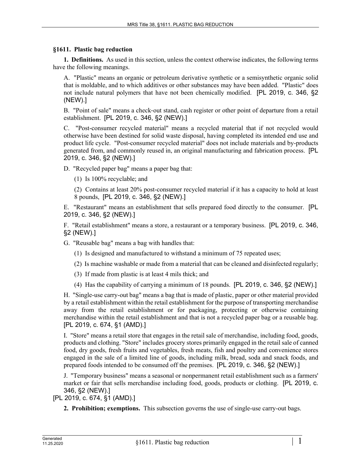### **§1611. Plastic bag reduction**

**1. Definitions.** As used in this section, unless the context otherwise indicates, the following terms have the following meanings.

A. "Plastic" means an organic or petroleum derivative synthetic or a semisynthetic organic solid that is moldable, and to which additives or other substances may have been added. "Plastic" does not include natural polymers that have not been chemically modified. [PL 2019, c. 346, §2 (NEW).]

B. "Point of sale" means a check-out stand, cash register or other point of departure from a retail establishment. [PL 2019, c. 346, §2 (NEW).]

C. "Post-consumer recycled material" means a recycled material that if not recycled would otherwise have been destined for solid waste disposal, having completed its intended end use and product life cycle. "Post-consumer recycled material" does not include materials and by-products generated from, and commonly reused in, an original manufacturing and fabrication process. [PL 2019, c. 346, §2 (NEW).]

D. "Recycled paper bag" means a paper bag that:

(1) Is 100% recyclable; and

(2) Contains at least 20% post-consumer recycled material if it has a capacity to hold at least 8 pounds, [PL 2019, c. 346, §2 (NEW).]

E. "Restaurant" means an establishment that sells prepared food directly to the consumer. [PL 2019, c. 346, §2 (NEW).]

F. "Retail establishment" means a store, a restaurant or a temporary business. [PL 2019, c. 346, §2 (NEW).]

G. "Reusable bag" means a bag with handles that:

(1) Is designed and manufactured to withstand a minimum of 75 repeated uses;

- (2) Is machine washable or made from a material that can be cleaned and disinfected regularly;
- (3) If made from plastic is at least 4 mils thick; and
- (4) Has the capability of carrying a minimum of 18 pounds. [PL 2019, c. 346, §2 (NEW).]

H. "Single-use carry-out bag" means a bag that is made of plastic, paper or other material provided by a retail establishment within the retail establishment for the purpose of transporting merchandise away from the retail establishment or for packaging, protecting or otherwise containing merchandise within the retail establishment and that is not a recycled paper bag or a reusable bag. [PL 2019, c. 674, §1 (AMD).]

I. "Store" means a retail store that engages in the retail sale of merchandise, including food, goods, products and clothing. "Store" includes grocery stores primarily engaged in the retail sale of canned food, dry goods, fresh fruits and vegetables, fresh meats, fish and poultry and convenience stores engaged in the sale of a limited line of goods, including milk, bread, soda and snack foods, and prepared foods intended to be consumed off the premises. [PL 2019, c. 346, §2 (NEW).]

J. "Temporary business" means a seasonal or nonpermanent retail establishment such as a farmers' market or fair that sells merchandise including food, goods, products or clothing. [PL 2019, c. 346, §2 (NEW).]

[PL 2019, c. 674, §1 (AMD).]

**2. Prohibition; exemptions.** This subsection governs the use of single-use carry-out bags.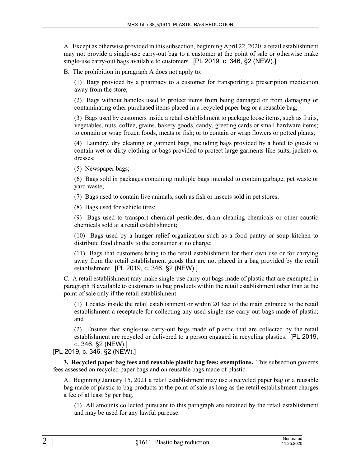A. Except as otherwise provided in this subsection, beginning April 22, 2020, a retail establishment may not provide a single-use carry-out bag to a customer at the point of sale or otherwise make single-use carry-out bags available to customers. [PL 2019, c. 346, §2 (NEW).]

B. The prohibition in paragraph A does not apply to:

(1) Bags provided by a pharmacy to a customer for transporting a prescription medication away from the store;

(2) Bags without handles used to protect items from being damaged or from damaging or contaminating other purchased items placed in a recycled paper bag or a reusable bag;

(3) Bags used by customers inside a retail establishment to package loose items, such as fruits, vegetables, nuts, coffee, grains, bakery goods, candy, greeting cards or small hardware items; to contain or wrap frozen foods, meats or fish; or to contain or wrap flowers or potted plants;

(4) Laundry, dry cleaning or garment bags, including bags provided by a hotel to guests to contain wet or dirty clothing or bags provided to protect large garments like suits, jackets or dresses;

(5) Newspaper bags;

(6) Bags sold in packages containing multiple bags intended to contain garbage, pet waste or yard waste;

(7) Bags used to contain live animals, such as fish or insects sold in pet stores;

(8) Bags used for vehicle tires;

(9) Bags used to transport chemical pesticides, drain cleaning chemicals or other caustic chemicals sold at a retail establishment;

(10) Bags used by a hunger relief organization such as a food pantry or soup kitchen to distribute food directly to the consumer at no charge;

(11) Bags that customers bring to the retail establishment for their own use or for carrying away from the retail establishment goods that are not placed in a bag provided by the retail establishment. [PL 2019, c. 346, §2 (NEW).]

C. A retail establishment may make single-use carry-out bags made of plastic that are exempted in paragraph B available to customers to bag products within the retail establishment other than at the point of sale only if the retail establishment:

(1) Locates inside the retail establishment or within 20 feet of the main entrance to the retail establishment a receptacle for collecting any used single-use carry-out bags made of plastic; and

(2) Ensures that single-use carry-out bags made of plastic that are collected by the retail establishment are recycled or delivered to a person engaged in recycling plastics. [PL 2019, c. 346, §2 (NEW).]

# [PL 2019, c. 346, §2 (NEW).]

**3. Recycled paper bag fees and reusable plastic bag fees; exemptions.** This subsection governs fees assessed on recycled paper bags and on reusable bags made of plastic.

A. Beginning January 15, 2021 a retail establishment may use a recycled paper bag or a reusable bag made of plastic to bag products at the point of sale as long as the retail establishment charges a fee of at least 5¢ per bag.

(1) All amounts collected pursuant to this paragraph are retained by the retail establishment and may be used for any lawful purpose.